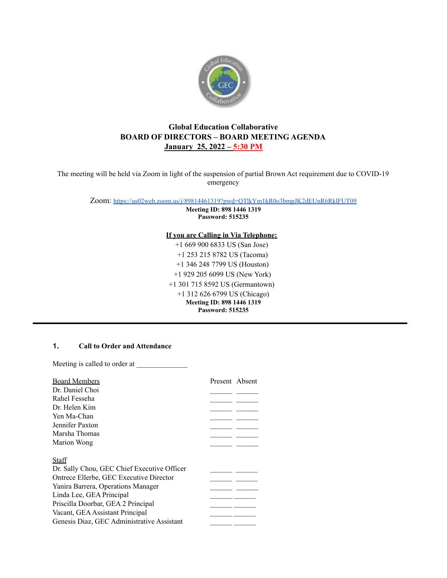

# **Global Education Collaborative BOARD OF DIRECTORS – BOARD MEETING AGENDA January 25, 2022 – 5:30 PM**

The meeting will be held via Zoom in light of the suspension of partial Brown Act requirement due to COVID-19 emergency

Zoom: <https://us02web.zoom.us/j/89814461319?pwd=QTlkYm1kR0o3bmpJK2dEUnR6RklFUT09>

**Meeting ID: 898 1446 1319 Password: 515235**

**If you are Calling in Via Telephone:**

+1 669 900 6833 US (San Jose) +1 253 215 8782 US (Tacoma) +1 346 248 7799 US (Houston) +1 929 205 6099 US (New York) +1 301 715 8592 US (Germantown) +1 312 626 6799 US (Chicago) **Meeting ID: 898 1446 1319 Password: 515235**

## **1. Call to Order and Attendance**

Meeting is called to order at \_\_\_\_\_\_\_\_\_\_\_\_\_\_

| <b>Board Members</b>                        | Present Absent |  |
|---------------------------------------------|----------------|--|
| Dr. Daniel Choi                             |                |  |
| Rahel Fesseha                               |                |  |
| Dr Helen Kim                                |                |  |
|                                             |                |  |
| Yen Ma-Chan                                 |                |  |
| Jennifer Paxton                             |                |  |
| Marsha Thomas                               |                |  |
| Marion Wong                                 |                |  |
|                                             |                |  |
| Staff                                       |                |  |
| Dr. Sally Chou, GEC Chief Executive Officer |                |  |
| Ontrece Ellerbe, GEC Executive Director     |                |  |
| Yanira Barrera, Operations Manager          |                |  |
| Linda Lee, GEA Principal                    |                |  |
| Priscilla Doorbar, GEA 2 Principal          |                |  |
| Vacant, GEA Assistant Principal             |                |  |
| Genesis Diaz, GEC Administrative Assistant  |                |  |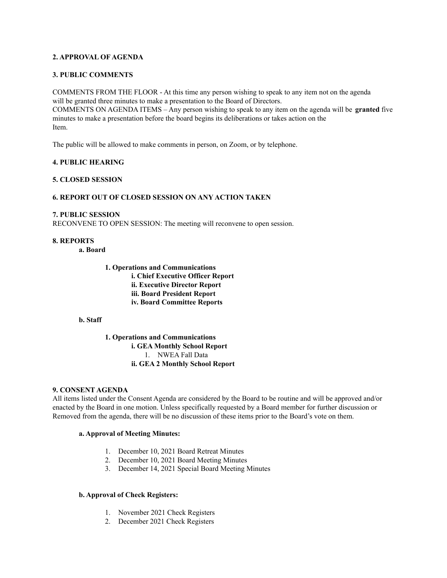## **2. APPROVAL OF AGENDA**

### **3. PUBLIC COMMENTS**

COMMENTS FROM THE FLOOR - At this time any person wishing to speak to any item not on the agenda will be granted three minutes to make a presentation to the Board of Directors. COMMENTS ON AGENDA ITEMS – Any person wishing to speak to any item on the agenda will be **granted** five minutes to make a presentation before the board begins its deliberations or takes action on the Item.

The public will be allowed to make comments in person, on Zoom, or by telephone.

### **4. PUBLIC HEARING**

### **5. CLOSED SESSION**

### **6. REPORT OUT OF CLOSED SESSION ON ANY ACTION TAKEN**

#### **7. PUBLIC SESSION**

RECONVENE TO OPEN SESSION: The meeting will reconvene to open session.

#### **8. REPORTS**

**a. Board**

# **1. Operations and Communications i. Chief Executive Officer Report ii. Executive Director Report iii. Board President Report iv. Board Committee Reports**

### **b. Staff**

**1. Operations and Communications i. GEA Monthly School Report** 1. NWEA Fall Data **ii. GEA 2 Monthly School Report**

### **9. CONSENT AGENDA**

All items listed under the Consent Agenda are considered by the Board to be routine and will be approved and/or enacted by the Board in one motion. Unless specifically requested by a Board member for further discussion or Removed from the agenda, there will be no discussion of these items prior to the Board's vote on them.

## **a. Approval of Meeting Minutes:**

- 1. December 10, 2021 Board Retreat Minutes
- 2. December 10, 2021 Board Meeting Minutes
- 3. December 14, 2021 Special Board Meeting Minutes

#### **b. Approval of Check Registers:**

- 1. November 2021 Check Registers
- 2. December 2021 Check Registers